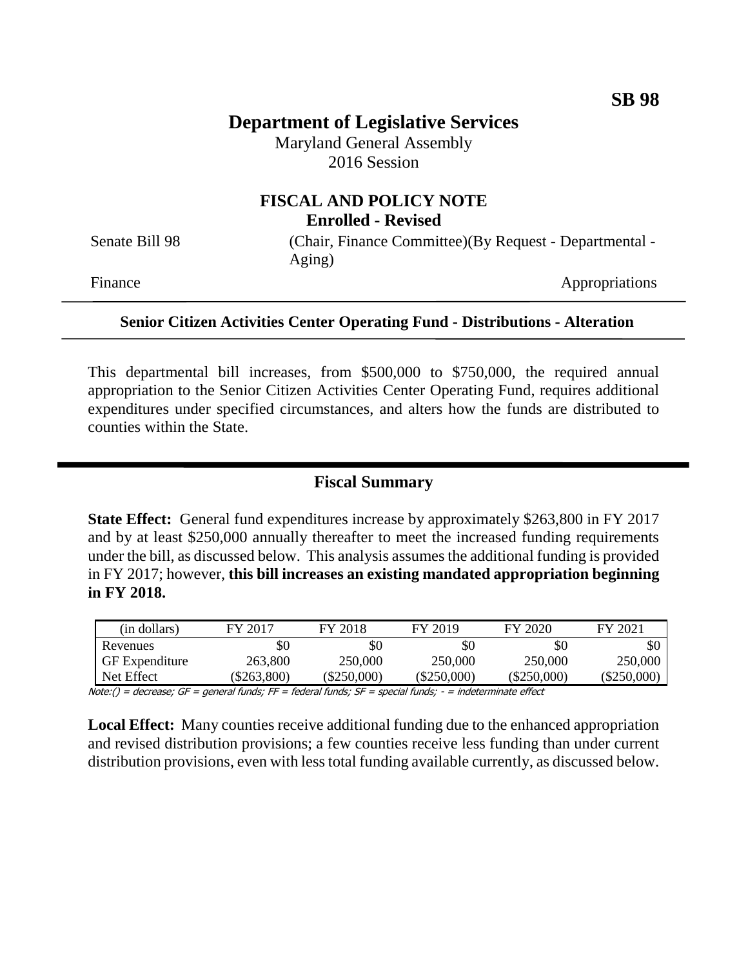# **Department of Legislative Services**

Maryland General Assembly 2016 Session

#### **FISCAL AND POLICY NOTE Enrolled - Revised**

Senate Bill 98 (Chair, Finance Committee)(By Request - Departmental -Aging)

Finance Appropriations

#### **Senior Citizen Activities Center Operating Fund - Distributions - Alteration**

This departmental bill increases, from \$500,000 to \$750,000, the required annual appropriation to the Senior Citizen Activities Center Operating Fund, requires additional expenditures under specified circumstances, and alters how the funds are distributed to counties within the State.

## **Fiscal Summary**

**State Effect:** General fund expenditures increase by approximately \$263,800 in FY 2017 and by at least \$250,000 annually thereafter to meet the increased funding requirements under the bill, as discussed below. This analysis assumes the additional funding is provided in FY 2017; however, **this bill increases an existing mandated appropriation beginning in FY 2018.**

| (in dollars)          | FY 2017   | FY 2018       | FY 2019       | FY 2020       | FY 2021     |
|-----------------------|-----------|---------------|---------------|---------------|-------------|
| Revenues              |           |               | \$0           | \$0           | \$0         |
| <b>GF</b> Expenditure | 263,800   | 250,000       | 250,000       | 250,000       | 250,000     |
| Net Effect            | \$263,800 | $(\$250,000)$ | $(\$250,000)$ | $(\$250,000)$ | (\$250,000) |

Note:() = decrease; GF = general funds; FF = federal funds; SF = special funds; - = indeterminate effect

**Local Effect:** Many counties receive additional funding due to the enhanced appropriation and revised distribution provisions; a few counties receive less funding than under current distribution provisions, even with less total funding available currently, as discussed below.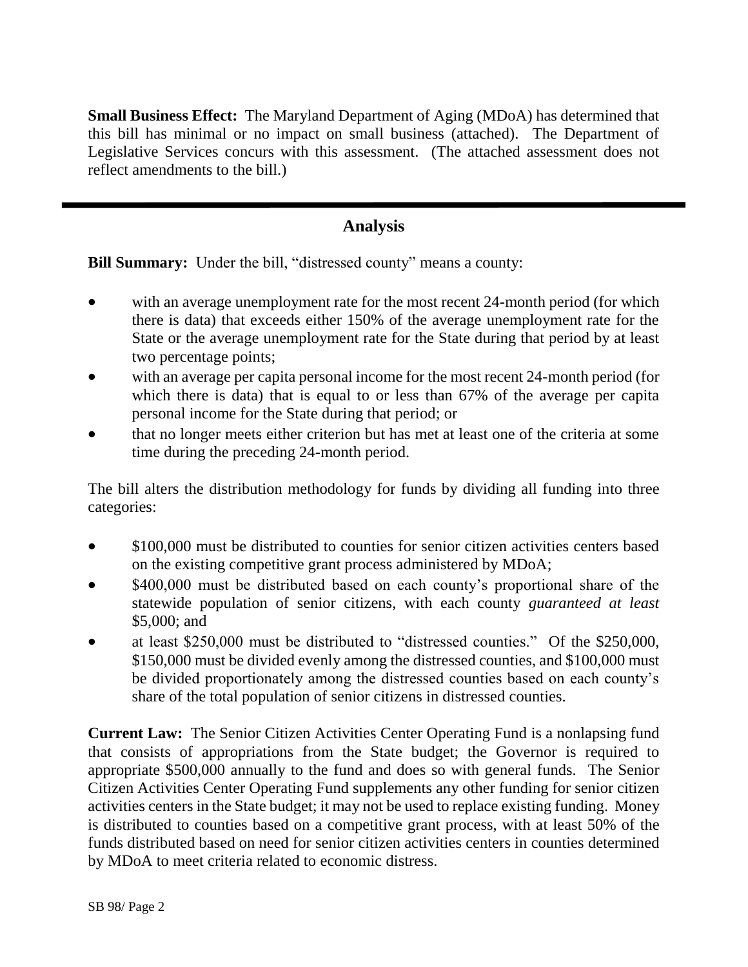**Small Business Effect:** The Maryland Department of Aging (MDoA) has determined that this bill has minimal or no impact on small business (attached). The Department of Legislative Services concurs with this assessment. (The attached assessment does not reflect amendments to the bill.)

## **Analysis**

**Bill Summary:** Under the bill, "distressed county" means a county:

- with an average unemployment rate for the most recent 24-month period (for which there is data) that exceeds either 150% of the average unemployment rate for the State or the average unemployment rate for the State during that period by at least two percentage points;
- with an average per capita personal income for the most recent 24-month period (for which there is data) that is equal to or less than 67% of the average per capita personal income for the State during that period; or
- that no longer meets either criterion but has met at least one of the criteria at some time during the preceding 24-month period.

The bill alters the distribution methodology for funds by dividing all funding into three categories:

- \$100,000 must be distributed to counties for senior citizen activities centers based on the existing competitive grant process administered by MDoA;
- \$400,000 must be distributed based on each county's proportional share of the statewide population of senior citizens, with each county *guaranteed at least* \$5,000; and
- at least \$250,000 must be distributed to "distressed counties." Of the \$250,000, \$150,000 must be divided evenly among the distressed counties, and \$100,000 must be divided proportionately among the distressed counties based on each county's share of the total population of senior citizens in distressed counties.

**Current Law:** The Senior Citizen Activities Center Operating Fund is a nonlapsing fund that consists of appropriations from the State budget; the Governor is required to appropriate \$500,000 annually to the fund and does so with general funds. The Senior Citizen Activities Center Operating Fund supplements any other funding for senior citizen activities centers in the State budget; it may not be used to replace existing funding. Money is distributed to counties based on a competitive grant process, with at least 50% of the funds distributed based on need for senior citizen activities centers in counties determined by MDoA to meet criteria related to economic distress.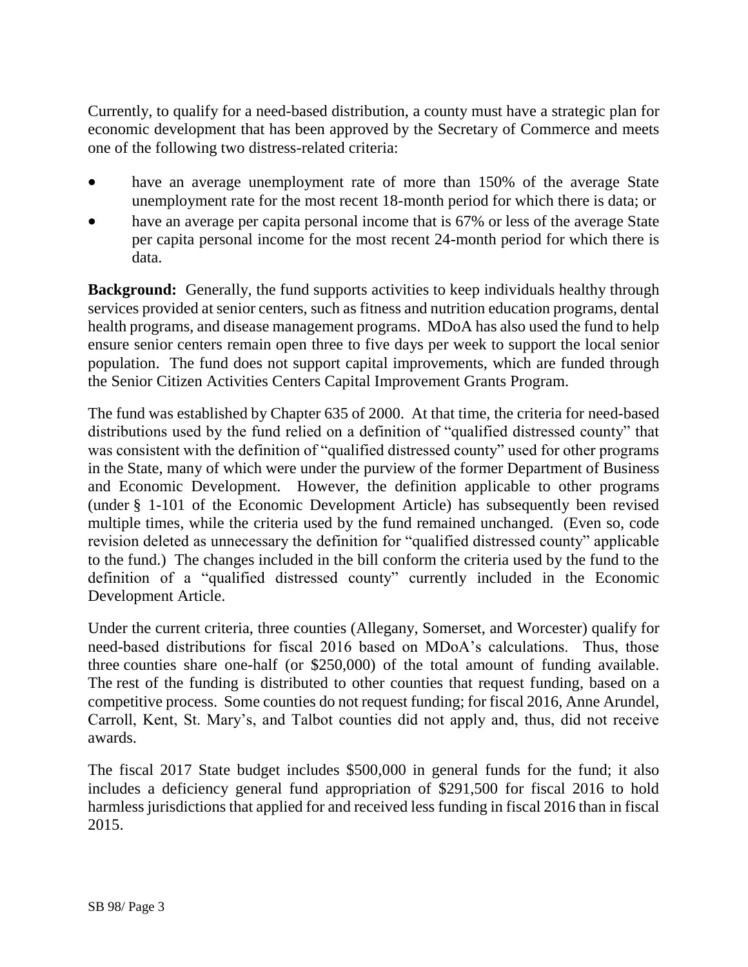Currently, to qualify for a need-based distribution, a county must have a strategic plan for economic development that has been approved by the Secretary of Commerce and meets one of the following two distress-related criteria:

- have an average unemployment rate of more than 150% of the average State unemployment rate for the most recent 18-month period for which there is data; or
- have an average per capita personal income that is 67% or less of the average State per capita personal income for the most recent 24-month period for which there is data.

**Background:** Generally, the fund supports activities to keep individuals healthy through services provided at senior centers, such as fitness and nutrition education programs, dental health programs, and disease management programs. MDoA has also used the fund to help ensure senior centers remain open three to five days per week to support the local senior population. The fund does not support capital improvements, which are funded through the Senior Citizen Activities Centers Capital Improvement Grants Program.

The fund was established by Chapter 635 of 2000. At that time, the criteria for need-based distributions used by the fund relied on a definition of "qualified distressed county" that was consistent with the definition of "qualified distressed county" used for other programs in the State, many of which were under the purview of the former Department of Business and Economic Development. However, the definition applicable to other programs (under § 1-101 of the Economic Development Article) has subsequently been revised multiple times, while the criteria used by the fund remained unchanged. (Even so, code revision deleted as unnecessary the definition for "qualified distressed county" applicable to the fund.) The changes included in the bill conform the criteria used by the fund to the definition of a "qualified distressed county" currently included in the Economic Development Article.

Under the current criteria, three counties (Allegany, Somerset, and Worcester) qualify for need-based distributions for fiscal 2016 based on MDoA's calculations. Thus, those three counties share one-half (or \$250,000) of the total amount of funding available. The rest of the funding is distributed to other counties that request funding, based on a competitive process. Some counties do not request funding; for fiscal 2016, Anne Arundel, Carroll, Kent, St. Mary's, and Talbot counties did not apply and, thus, did not receive awards.

The fiscal 2017 State budget includes \$500,000 in general funds for the fund; it also includes a deficiency general fund appropriation of \$291,500 for fiscal 2016 to hold harmless jurisdictions that applied for and received less funding in fiscal 2016 than in fiscal 2015.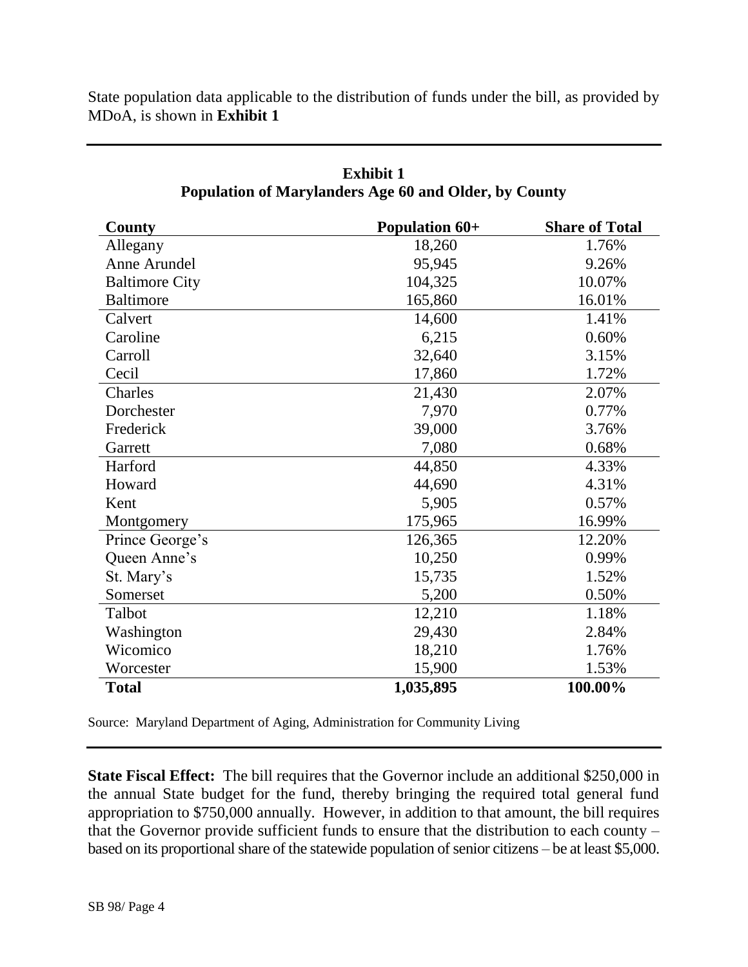State population data applicable to the distribution of funds under the bill, as provided by MDoA, is shown in **Exhibit 1**

| County                | <b>Population 60+</b> | <b>Share of Total</b> |
|-----------------------|-----------------------|-----------------------|
| Allegany              | 18,260                | 1.76%                 |
| Anne Arundel          | 95,945                | 9.26%                 |
| <b>Baltimore City</b> | 104,325               | 10.07%                |
| <b>Baltimore</b>      | 165,860               | 16.01%                |
| Calvert               | 14,600                | 1.41%                 |
| Caroline              | 6,215                 | 0.60%                 |
| Carroll               | 32,640                | 3.15%                 |
| Cecil                 | 17,860                | 1.72%                 |
| Charles               | 21,430                | 2.07%                 |
| Dorchester            | 7,970                 | 0.77%                 |
| Frederick             | 39,000                | 3.76%                 |
| Garrett               | 7,080                 | 0.68%                 |
| Harford               | 44,850                | 4.33%                 |
| Howard                | 44,690                | 4.31%                 |
| Kent                  | 5,905                 | 0.57%                 |
| Montgomery            | 175,965               | 16.99%                |
| Prince George's       | 126,365               | 12.20%                |
| Queen Anne's          | 10,250                | 0.99%                 |
| St. Mary's            | 15,735                | 1.52%                 |
| Somerset              | 5,200                 | 0.50%                 |
| Talbot                | 12,210                | 1.18%                 |
| Washington            | 29,430                | 2.84%                 |
| Wicomico              | 18,210                | 1.76%                 |
| Worcester             | 15,900                | 1.53%                 |
| <b>Total</b>          | 1,035,895             | 100.00%               |

## **Exhibit 1 Population of Marylanders Age 60 and Older, by County**

Source: Maryland Department of Aging, Administration for Community Living

**State Fiscal Effect:** The bill requires that the Governor include an additional \$250,000 in the annual State budget for the fund, thereby bringing the required total general fund appropriation to \$750,000 annually. However, in addition to that amount, the bill requires that the Governor provide sufficient funds to ensure that the distribution to each county – based on its proportional share of the statewide population of senior citizens – be at least \$5,000.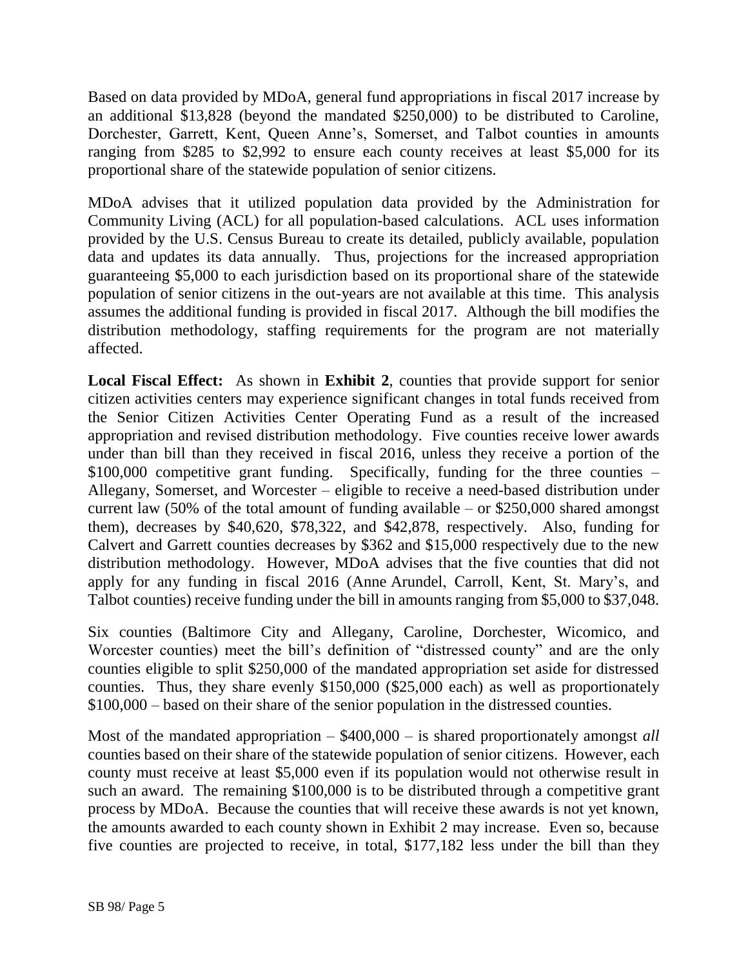Based on data provided by MDoA, general fund appropriations in fiscal 2017 increase by an additional \$13,828 (beyond the mandated \$250,000) to be distributed to Caroline, Dorchester, Garrett, Kent, Queen Anne's, Somerset, and Talbot counties in amounts ranging from \$285 to \$2,992 to ensure each county receives at least \$5,000 for its proportional share of the statewide population of senior citizens.

MDoA advises that it utilized population data provided by the Administration for Community Living (ACL) for all population-based calculations. ACL uses information provided by the U.S. Census Bureau to create its detailed, publicly available, population data and updates its data annually. Thus, projections for the increased appropriation guaranteeing \$5,000 to each jurisdiction based on its proportional share of the statewide population of senior citizens in the out-years are not available at this time. This analysis assumes the additional funding is provided in fiscal 2017. Although the bill modifies the distribution methodology, staffing requirements for the program are not materially affected.

**Local Fiscal Effect:** As shown in **Exhibit 2**, counties that provide support for senior citizen activities centers may experience significant changes in total funds received from the Senior Citizen Activities Center Operating Fund as a result of the increased appropriation and revised distribution methodology. Five counties receive lower awards under than bill than they received in fiscal 2016, unless they receive a portion of the \$100,000 competitive grant funding. Specifically, funding for the three counties – Allegany, Somerset, and Worcester – eligible to receive a need-based distribution under current law  $(50\%$  of the total amount of funding available – or \$250,000 shared amongst them), decreases by \$40,620, \$78,322, and \$42,878, respectively. Also, funding for Calvert and Garrett counties decreases by \$362 and \$15,000 respectively due to the new distribution methodology. However, MDoA advises that the five counties that did not apply for any funding in fiscal 2016 (Anne Arundel, Carroll, Kent, St. Mary's, and Talbot counties) receive funding under the bill in amounts ranging from \$5,000 to \$37,048.

Six counties (Baltimore City and Allegany, Caroline, Dorchester, Wicomico, and Worcester counties) meet the bill's definition of "distressed county" and are the only counties eligible to split \$250,000 of the mandated appropriation set aside for distressed counties. Thus, they share evenly \$150,000 (\$25,000 each) as well as proportionately \$100,000 – based on their share of the senior population in the distressed counties.

Most of the mandated appropriation – \$400,000 – is shared proportionately amongst *all* counties based on their share of the statewide population of senior citizens. However, each county must receive at least \$5,000 even if its population would not otherwise result in such an award. The remaining \$100,000 is to be distributed through a competitive grant process by MDoA. Because the counties that will receive these awards is not yet known, the amounts awarded to each county shown in Exhibit 2 may increase. Even so, because five counties are projected to receive, in total, \$177,182 less under the bill than they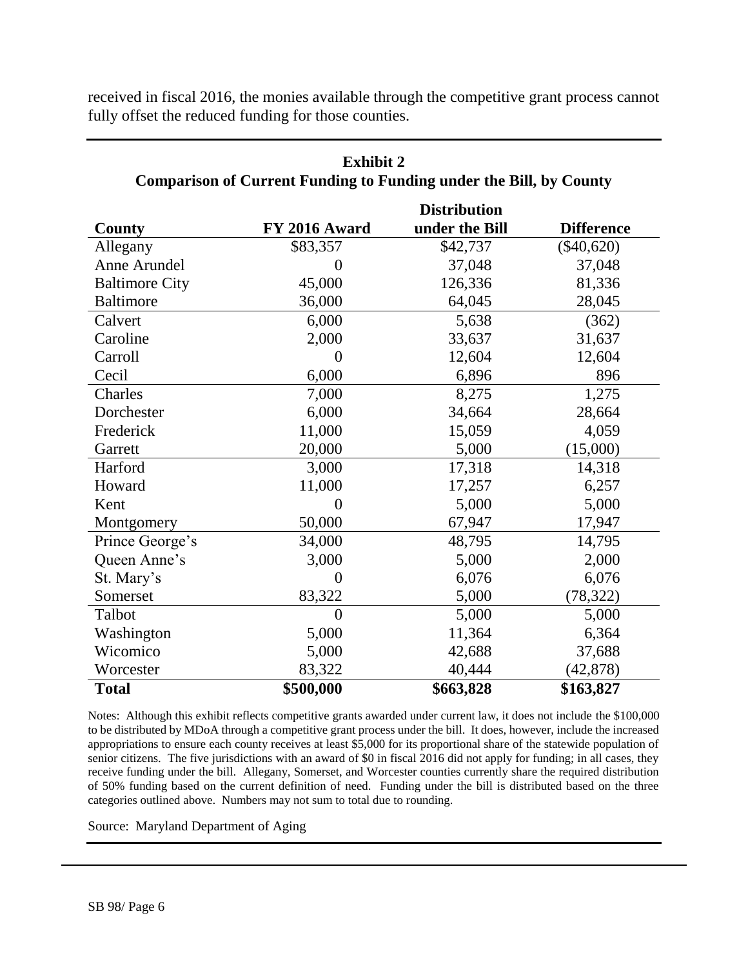| <b>Comparison of Current Funding to Funding under the Bill, by County</b> |                |                                       |                   |  |
|---------------------------------------------------------------------------|----------------|---------------------------------------|-------------------|--|
| County                                                                    | FY 2016 Award  | <b>Distribution</b><br>under the Bill | <b>Difference</b> |  |
| Allegany                                                                  | \$83,357       | \$42,737                              | $(\$40,620)$      |  |
| Anne Arundel                                                              | 0              | 37,048                                | 37,048            |  |
| <b>Baltimore City</b>                                                     | 45,000         | 126,336                               | 81,336            |  |
| <b>Baltimore</b>                                                          | 36,000         | 64,045                                | 28,045            |  |
| Calvert                                                                   | 6,000          | 5,638                                 | (362)             |  |
| Caroline                                                                  | 2,000          | 33,637                                | 31,637            |  |
| Carroll                                                                   | 0              | 12,604                                | 12,604            |  |
| Cecil                                                                     | 6,000          | 6,896                                 | 896               |  |
| Charles                                                                   | 7,000          | 8,275                                 | 1,275             |  |
| Dorchester                                                                | 6,000          | 34,664                                | 28,664            |  |
| Frederick                                                                 | 11,000         | 15,059                                | 4,059             |  |
| Garrett                                                                   | 20,000         | 5,000                                 | (15,000)          |  |
| Harford                                                                   | 3,000          | 17,318                                | 14,318            |  |
| Howard                                                                    | 11,000         | 17,257                                | 6,257             |  |
| Kent                                                                      | 0              | 5,000                                 | 5,000             |  |
| Montgomery                                                                | 50,000         | 67,947                                | 17,947            |  |
| Prince George's                                                           | 34,000         | 48,795                                | 14,795            |  |
| Queen Anne's                                                              | 3,000          | 5,000                                 | 2,000             |  |
| St. Mary's                                                                | $\overline{0}$ | 6,076                                 | 6,076             |  |
| Somerset                                                                  | 83,322         | 5,000                                 | (78, 322)         |  |
| Talbot                                                                    | $\theta$       | 5,000                                 | 5,000             |  |
| Washington                                                                | 5,000          | 11,364                                | 6,364             |  |
| Wicomico                                                                  | 5,000          | 42,688                                | 37,688            |  |
| Worcester                                                                 | 83,322         | 40,444                                | (42, 878)         |  |
| <b>Total</b>                                                              | \$500,000      | \$663,828                             | \$163,827         |  |

received in fiscal 2016, the monies available through the competitive grant process cannot fully offset the reduced funding for those counties.

**Exhibit 2** 

Notes: Although this exhibit reflects competitive grants awarded under current law, it does not include the \$100,000 to be distributed by MDoA through a competitive grant process under the bill. It does, however, include the increased appropriations to ensure each county receives at least \$5,000 for its proportional share of the statewide population of senior citizens. The five jurisdictions with an award of \$0 in fiscal 2016 did not apply for funding; in all cases, they receive funding under the bill. Allegany, Somerset, and Worcester counties currently share the required distribution of 50% funding based on the current definition of need. Funding under the bill is distributed based on the three categories outlined above. Numbers may not sum to total due to rounding.

Source: Maryland Department of Aging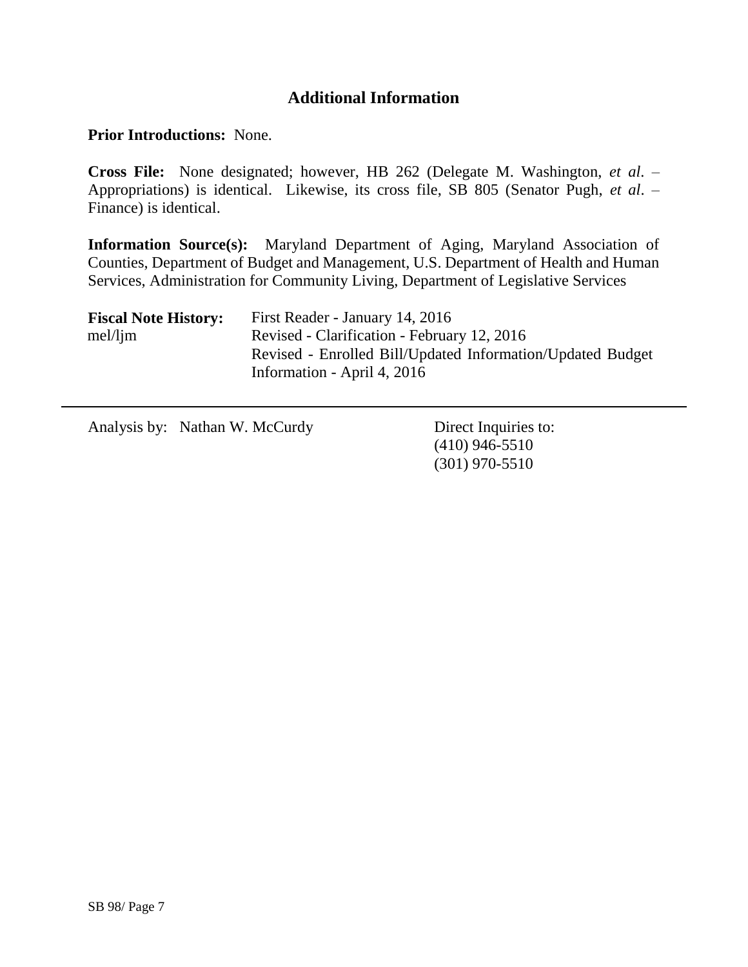## **Additional Information**

#### **Prior Introductions:** None.

**Cross File:** None designated; however, HB 262 (Delegate M. Washington, *et al*. – Appropriations) is identical. Likewise, its cross file, SB 805 (Senator Pugh, *et al*. – Finance) is identical.

**Information Source(s):** Maryland Department of Aging, Maryland Association of Counties, Department of Budget and Management, U.S. Department of Health and Human Services, Administration for Community Living, Department of Legislative Services

| <b>Fiscal Note History:</b> | First Reader - January 14, 2016                            |
|-----------------------------|------------------------------------------------------------|
| mel/lim                     | Revised - Clarification - February 12, 2016                |
|                             | Revised - Enrolled Bill/Updated Information/Updated Budget |
|                             | Information - April 4, 2016                                |

Analysis by: Nathan W. McCurdy Direct Inquiries to:

(410) 946-5510 (301) 970-5510